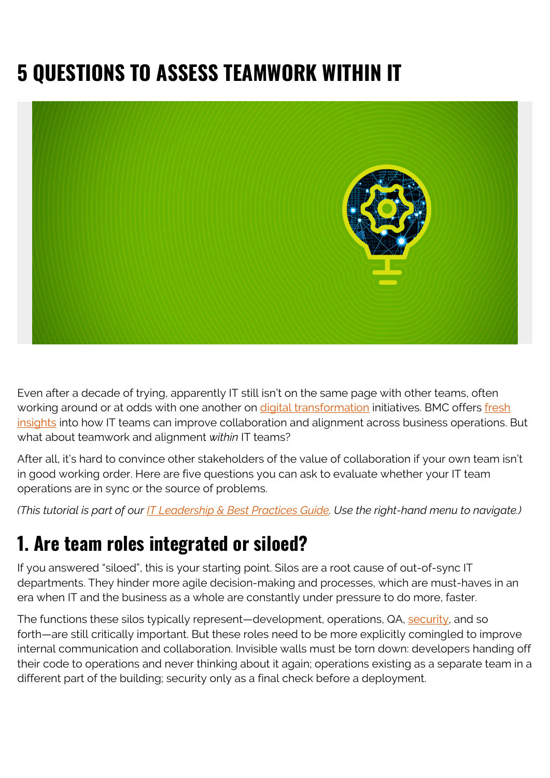# **5 QUESTIONS TO ASSESS TEAMWORK WITHIN IT**



Even after a decade of trying, apparently IT still isn't on the same page with other teams, often working around or at odds with one another on [digital transformation](https://blogs.bmc.com/blogs/what-is-digital-transformation/) initiatives. BMC offers [fresh](https://blogs.bmc.com/forms/it-evolving-role-in-the-digital-transformation-era.html) [insights](https://blogs.bmc.com/forms/it-evolving-role-in-the-digital-transformation-era.html) into how IT teams can improve collaboration and alignment across business operations. But what about teamwork and alignment *within* IT teams?

After all, it's hard to convince other stakeholders of the value of collaboration if your own team isn't in good working order. Here are five questions you can ask to evaluate whether your IT team operations are in sync or the source of problems.

*(This tutorial is part of our [IT Leadership & Best Practices Guide](https://blogs.bmc.com/blogs/offensive-defensive-leadership/). Use the right-hand menu to navigate.)*

#### **1. Are team roles integrated or siloed?**

If you answered "siloed", this is your starting point. Silos are a root cause of out-of-sync IT departments. They hinder more agile decision-making and processes, which are must-haves in an era when IT and the business as a whole are constantly under pressure to do more, faster.

The functions these silos typically represent—development, operations, QA, [security,](https://blogs.bmc.com/blogs/security-vulnerability-vs-threat-vs-risk-whats-difference/) and so forth—are still critically important. But these roles need to be more explicitly comingled to improve internal communication and collaboration. Invisible walls must be torn down: developers handing off their code to operations and never thinking about it again; operations existing as a separate team in a different part of the building; security only as a final check before a deployment.